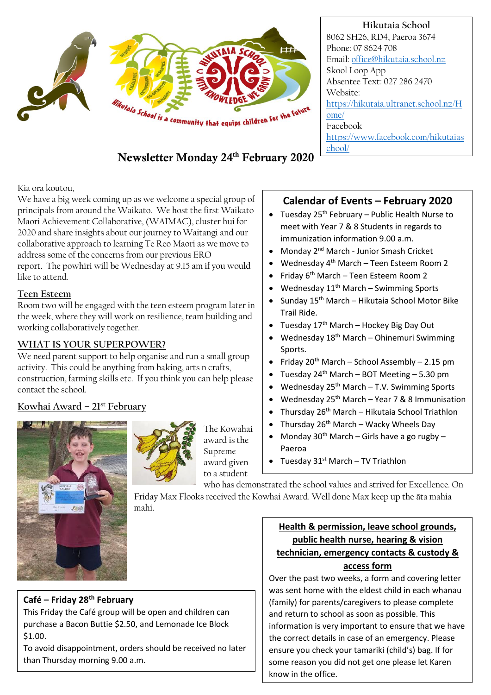

#### **Hikutaia School** 8062 SH26, RD4, Paeroa 3674 Phone: 07 8624 708 Email: [office@hikutaia.school.nz](mailto:office@hikutaia.school.nz) Skool Loop App Absentee Text: 027 286 2470 Website: [https://hikutaia.ultranet.school.nz/H](https://hikutaia.ultranet.school.nz/Home/) [ome/](https://hikutaia.ultranet.school.nz/Home/) Facebook [https://www.facebook.com/hikutaias](https://www.facebook.com/hikutaiaschool/) [chool/](https://www.facebook.com/hikutaiaschool/)

# Newsletter Monday 24th February 2020

Kia ora koutou,

We have a big week coming up as we welcome a special group of principals from around the Waikato. We host the first Waikato Maori Achievement Collaborative, (WAIMAC), cluster hui for 2020 and share insights about our journey to Waitangi and our collaborative approach to learning Te Reo Maori as we move to address some of the concerns from our previous ERO report. The powhiri will be Wednesday at 9.15 am if you would like to attend.

### **Teen Esteem**

Room two will be engaged with the teen esteem program later in the week, where they will work on resilience, team building and working collaboratively together.

# **WHAT IS YOUR SUPERPOWER?**

We need parent support to help organise and run a small group activity. This could be anything from baking, arts n crafts, construction, farming skills etc. If you think you can help please contact the school.

# **Kowhai Award – 21st February**



The Kowahai award is the Supreme award given to a student

# **Calendar of Events – February 2020**

- Tuesday  $25<sup>th</sup>$  February Public Health Nurse to meet with Year 7 & 8 Students in regards to immunization information 9.00 a.m.
- Monday 2nd March Junior Smash Cricket
- Wednesday 4th March Teen Esteem Room 2
- Friday 6th March Teen Esteem Room 2
- Wednesday  $11^{th}$  March Swimming Sports
- Sunday 15th March Hikutaia School Motor Bike Trail Ride.
- Tuesday  $17<sup>th</sup>$  March Hockey Big Day Out
- Wednesday  $18^{th}$  March Ohinemuri Swimming Sports.
- Friday  $20^{th}$  March School Assembly 2.15 pm
- Tuesday  $24^{th}$  March BOT Meeting 5.30 pm
- Wednesday  $25<sup>th</sup>$  March T.V. Swimming Sports
- Wednesday  $25<sup>th</sup>$  March Year 7 & 8 Immunisation
- $\bullet$  Thursday 26<sup>th</sup> March Hikutaia School Triathlon
- Thursday  $26<sup>th</sup>$  March Wacky Wheels Day
- Monday  $30<sup>th</sup>$  March Girls have a go rugby Paeroa
- Tuesday  $31^{st}$  March TV Triathlon

who has demonstrated the school values and strived for Excellence. On Friday Max Flooks received the Kowhai Award. Well done Max keep up the āta mahia mahi.

## **Café – Friday 28th February**

This Friday the Café group will be open and children can purchase a Bacon Buttie \$2.50, and Lemonade Ice Block \$1.00.

To avoid disappointment, orders should be received no later than Thursday morning 9.00 a.m.

### **Health & permission, leave school grounds, public health nurse, hearing & vision technician, emergency contacts & custody & access form**

Over the past two weeks, a form and covering letter was sent home with the eldest child in each whanau (family) for parents/caregivers to please complete and return to school as soon as possible. This information is very important to ensure that we have the correct details in case of an emergency. Please ensure you check your tamariki (child's) bag. If for some reason you did not get one please let Karen know in the office.